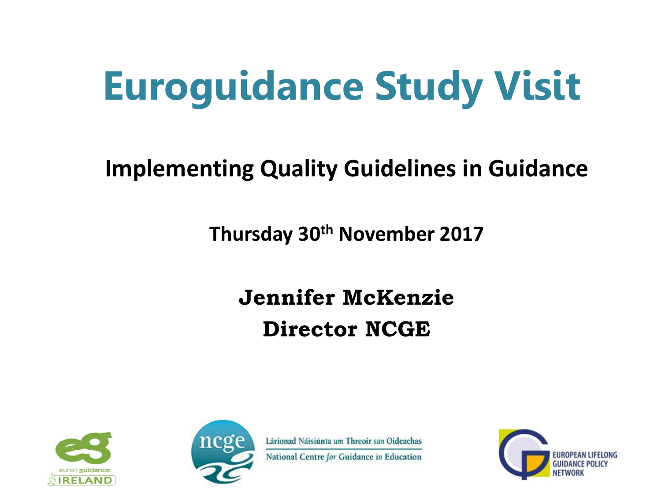# **Euroguidance Study Visit**

#### **Implementing Quality Guidelines in Guidance**

**Thursday 30th November 2017**

#### **Jennifer McKenzie Director NCGE**





Lárionad Náisiúnta um Threoir san Oideachas

National Centre for Guidance in Education

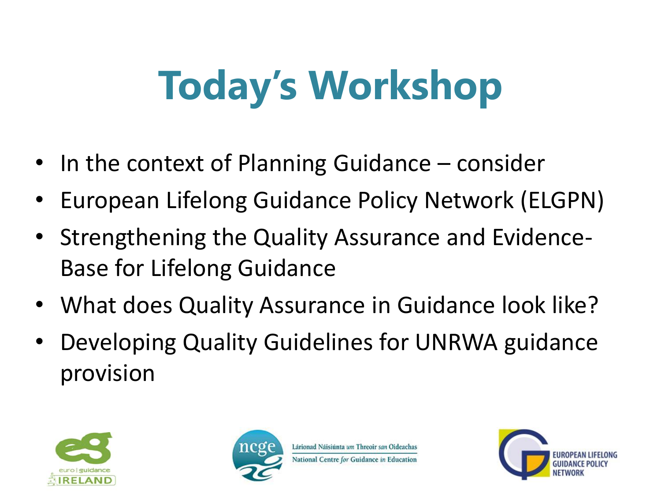# **Today's Workshop**

- In the context of Planning Guidance consider
- European Lifelong Guidance Policy Network (ELGPN)
- Strengthening the Quality Assurance and Evidence-Base for Lifelong Guidance
- What does Quality Assurance in Guidance look like?
- Developing Quality Guidelines for UNRWA guidance provision





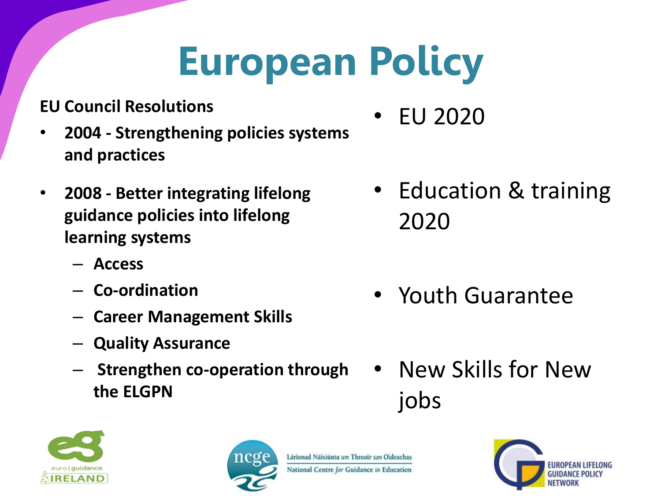# **European Policy**

#### **EU Council Resolutions**

- **2004 - Strengthening policies systems and practices**
- **2008 - Better integrating lifelong guidance policies into lifelong learning systems**
	- **Access**
	- **Co-ordination**
	- **Career Management Skills**
	- **Quality Assurance**
	- **Strengthen co-operation through the ELGPN**
- EU 2020
- Education & training 2020
- Youth Guarantee
- New Skills for New jobs





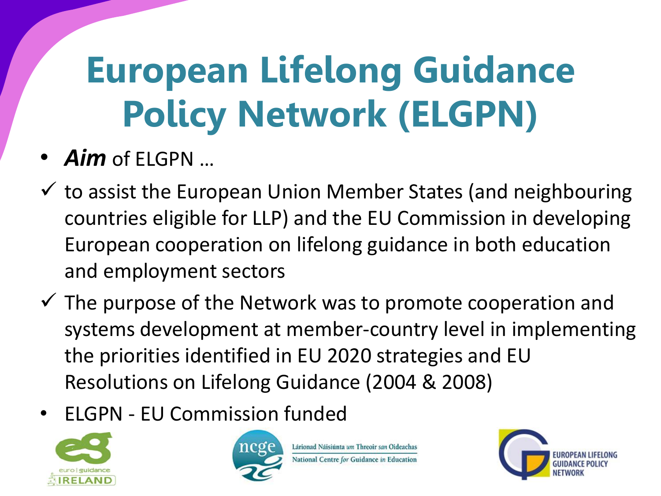# **European Lifelong Guidance Policy Network (ELGPN)**

#### • *Aim* of ELGPN …

- $\checkmark$  to assist the European Union Member States (and neighbouring countries eligible for LLP) and the EU Commission in developing European cooperation on lifelong guidance in both education and employment sectors
- $\checkmark$  The purpose of the Network was to promote cooperation and systems development at member-country level in implementing the priorities identified in EU 2020 strategies and EU Resolutions on Lifelong Guidance (2004 & 2008)
- ELGPN EU Commission funded





Lárionad Náisiúnta um Threoir san Oideachas National Centre for Guidance in Education

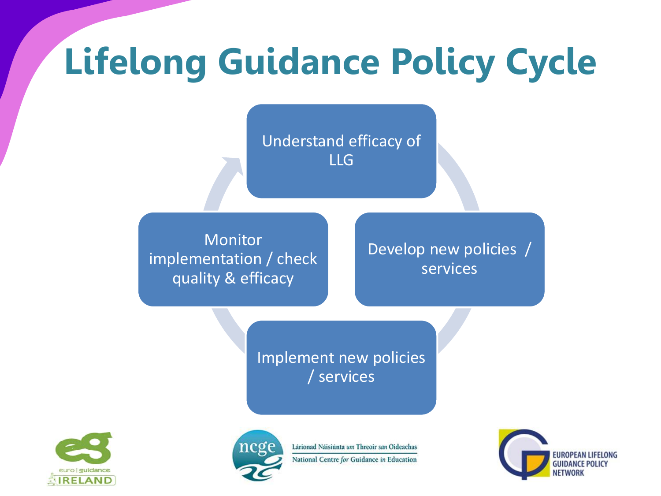## **Lifelong Guidance Policy Cycle**

Understand efficacy of LLG

**Monitor** implementation / check quality & efficacy

Develop new policies / services

Implement new policies / services





Lárionad Náisiúnta um Threoir san Oideachas National Centre for Guidance in Education

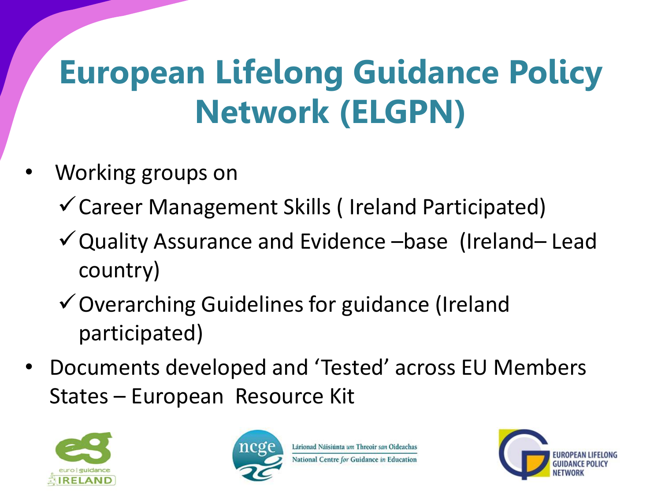#### **European Lifelong Guidance Policy Network (ELGPN)**

- Working groups on
	- Career Management Skills ( Ireland Participated)
	- Quality Assurance and Evidence –base (Ireland– Lead country)
	- Overarching Guidelines for guidance (Ireland participated)
- Documents developed and 'Tested' across EU Members States – European Resource Kit



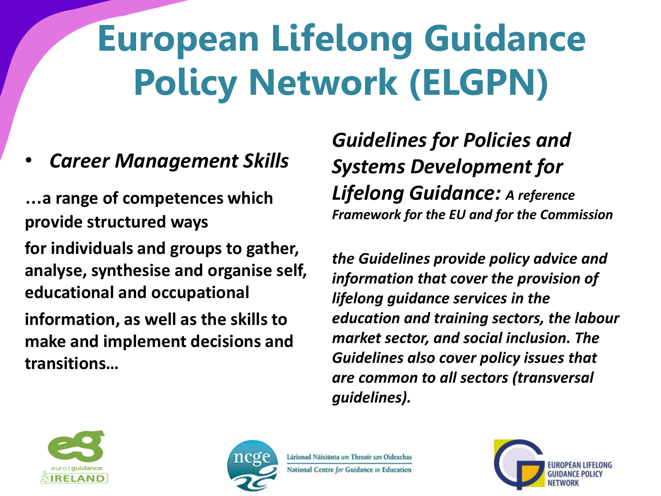## **European Lifelong Guidance Policy Network (ELGPN)**

#### • *Career Management Skills*

…**a range of competences which provide structured ways for individuals and groups to gather, analyse, synthesise and organise self, educational and occupational information, as well as the skills to make and implement decisions and transitions…**

*Guidelines for Policies and Systems Development for Lifelong Guidance: A reference Framework for the EU and for the Commission*

*the Guidelines provide policy advice and information that cover the provision of lifelong guidance services in the education and training sectors, the labour market sector, and social inclusion. The Guidelines also cover policy issues that are common to all sectors (transversal guidelines).*





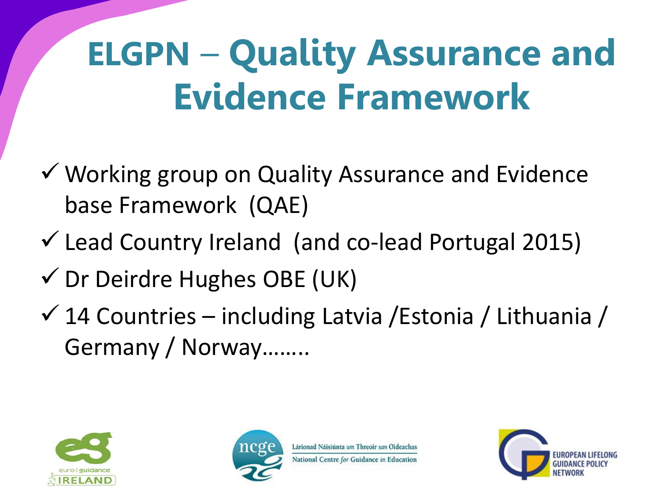#### **ELGPN** – **Quality Assurance and Evidence Framework**

- Working group on Quality Assurance and Evidence base Framework (QAE)
- $\checkmark$  Lead Country Ireland (and co-lead Portugal 2015)
- $\checkmark$  Dr Deirdre Hughes OBE (UK)
- $\checkmark$  14 Countries including Latvia / Estonia / Lithuania / Germany / Norway……..





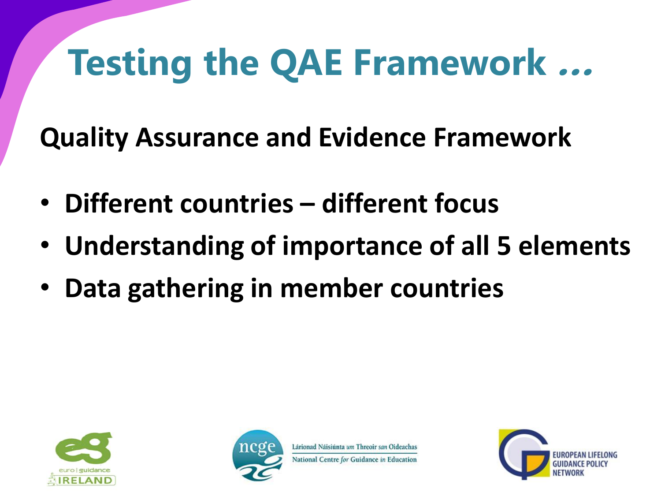## **Testing the QAE Framework …**

**Quality Assurance and Evidence Framework**

- **Different countries – different focus**
- **Understanding of importance of all 5 elements**
- **Data gathering in member countries**





National Centre for Guidance in Education

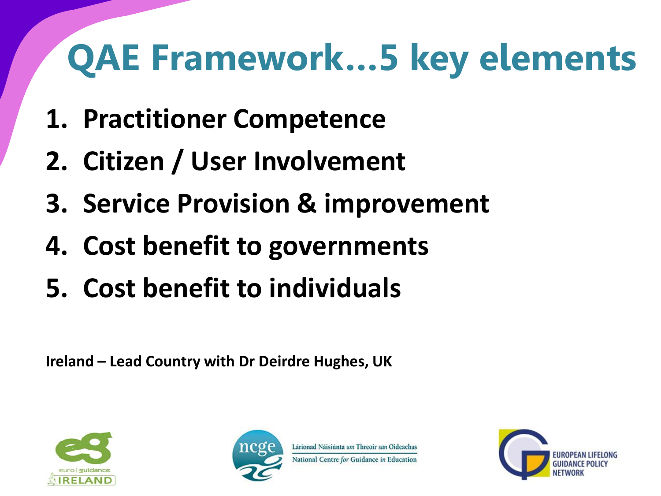## **QAE Framework…5 key elements**

- **1. Practitioner Competence**
- **2. Citizen / User Involvement**
- **3. Service Provision & improvement**
- **4. Cost benefit to governments**
- **5. Cost benefit to individuals**

**Ireland – Lead Country with Dr Deirdre Hughes, UK** 





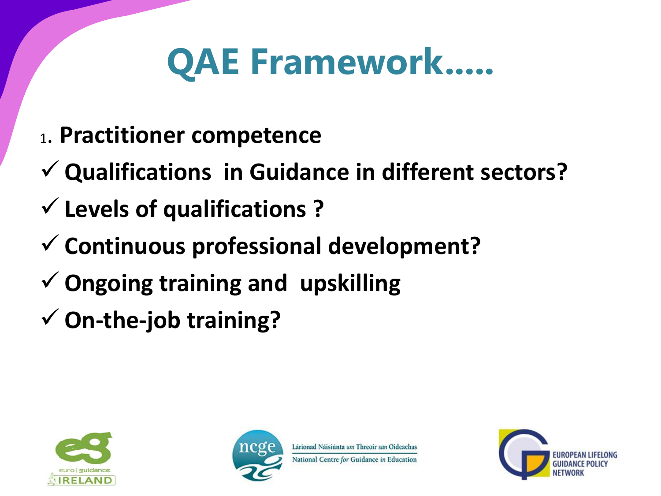#### **QAE Framework.....**

- <sup>1</sup>. **Practitioner competence**
- **Qualifications in Guidance in different sectors?**
- **Levels of qualifications ?**
- **Continuous professional development?**
- **Ongoing training and upskilling**
- **On-the-job training?**





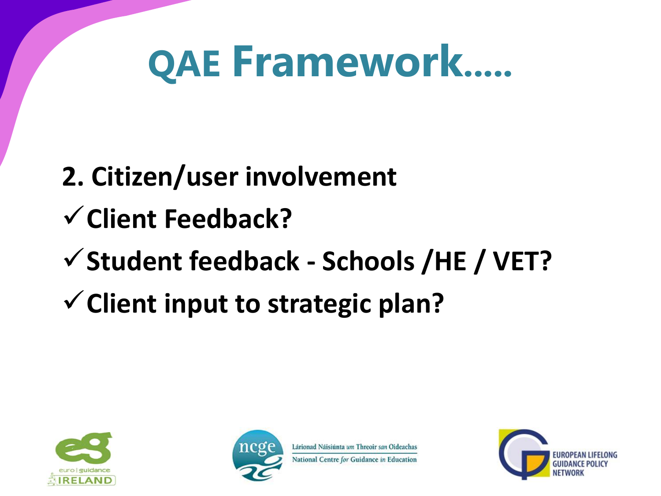# **QAE Framework.....**

#### **2. Citizen/user involvement Client Feedback? Student feedback - Schools /HE / VET? Client input to strategic plan?**



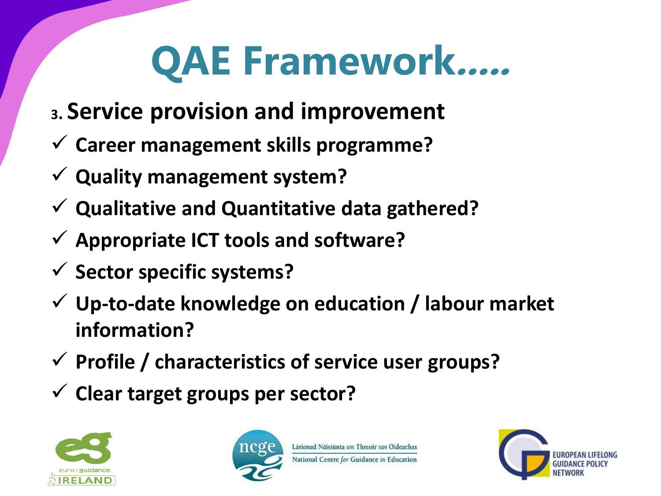# **QAE Framework.....**

- **<sup>3</sup>. Service provision and improvement**
- **Career management skills programme?**
- **Quality management system?**
- **Qualitative and Quantitative data gathered?**
- **Appropriate ICT tools and software?**
- **Sector specific systems?**
- **Up-to-date knowledge on education / labour market information?**
- **Profile / characteristics of service user groups?**
- **Clear target groups per sector?**





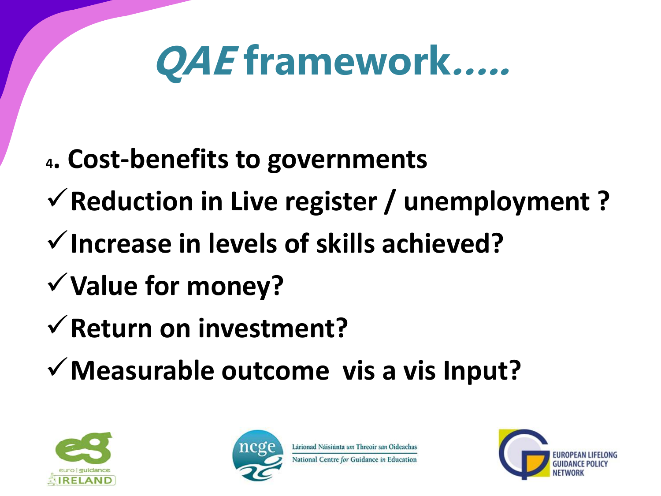# **QAE framework…..**

- **<sup>4</sup>. Cost-benefits to governments**
- **Reduction in Live register / unemployment ?**
- **Increase in levels of skills achieved?**
- **Value for money?**
- **Return on investment?**
- **Measurable outcome vis a vis Input?**



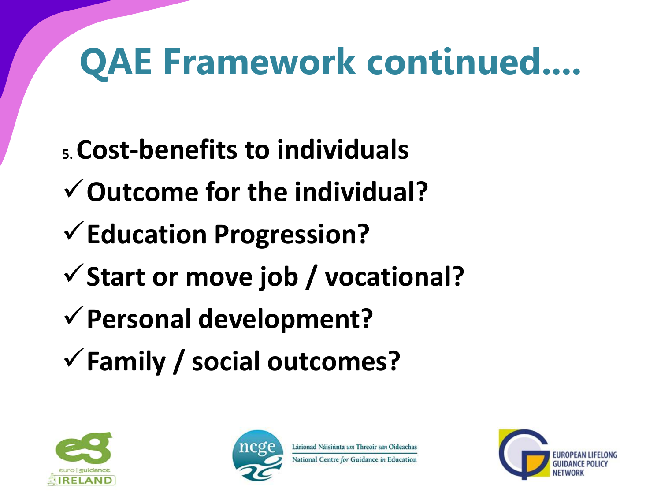## **QAE Framework continued....**

- **5. Cost-benefits to individuals**
- **Outcome for the individual?**
- **Education Progression?**
- **Start or move job / vocational?**
- **Personal development?**
- **Family / social outcomes?**





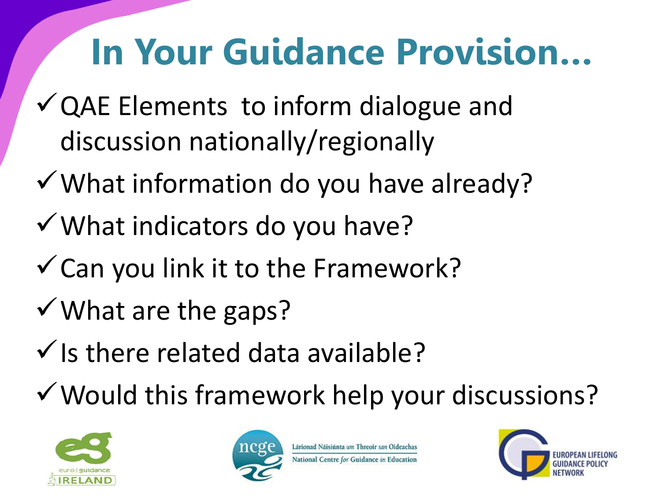#### **In Your Guidance Provision…**

- $\checkmark$  QAE Elements to inform dialogue and discussion nationally/regionally
- What information do you have already?
- What indicators do you have?
- $\checkmark$  Can you link it to the Framework?
- $\checkmark$  What are the gaps?
- $\checkmark$  is there related data available?
- Would this framework help your discussions?





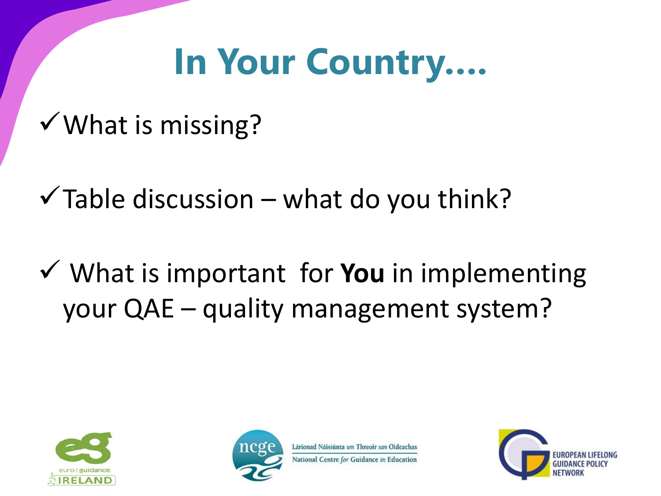#### **In Your Country….**

 $\checkmark$  What is missing?

 $\checkmark$  Table discussion – what do you think?

 What is important for **You** in implementing your QAE – quality management system?





National Centre for Guidance in Education

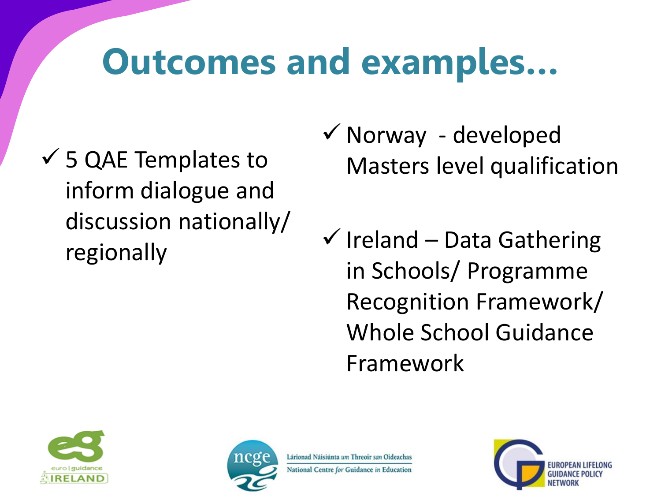#### **Outcomes and examples…**

- $\checkmark$  5 QAE Templates to inform dialogue and discussion nationally/ regionally
- $\checkmark$  Norway developed Masters level qualification
- $\checkmark$  Ireland Data Gathering in Schools/ Programme Recognition Framework/ Whole School Guidance Framework





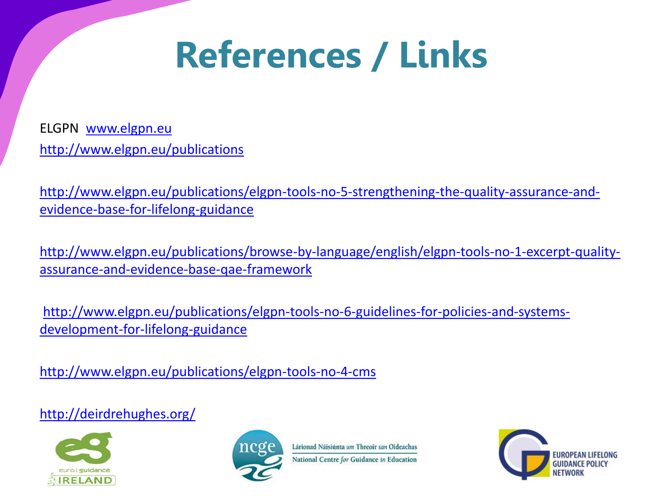#### **References / Links**

ELGPN [www.elgpn.eu](http://www.elgpn.eu/) <http://www.elgpn.eu/publications>

[http://www.elgpn.eu/publications/elgpn-tools-no-5-strengthening-the-quality-assurance-and](http://www.elgpn.eu/publications/elgpn-tools-no-5-strengthening-the-quality-assurance-and-evidence-base-for-lifelong-guidance)[evidence-base-for-lifelong-guidance](http://www.elgpn.eu/publications/elgpn-tools-no-5-strengthening-the-quality-assurance-and-evidence-base-for-lifelong-guidance)

[http://www.elgpn.eu/publications/browse-by-language/english/elgpn-tools-no-1-excerpt-quality](http://www.elgpn.eu/publications/browse-by-language/english/elgpn-tools-no-1-excerpt-quality-assurance-and-evidence-base-qae-framework)[assurance-and-evidence-base-qae-framework](http://www.elgpn.eu/publications/browse-by-language/english/elgpn-tools-no-1-excerpt-quality-assurance-and-evidence-base-qae-framework)

[http://www.elgpn.eu/publications/elgpn-tools-no-6-guidelines-for-policies-and-systems](http://www.elgpn.eu/publications/elgpn-tools-no-6-guidelines-for-policies-and-systems-development-for-lifelong-guidance)[development-for-lifelong-guidance](http://www.elgpn.eu/publications/elgpn-tools-no-6-guidelines-for-policies-and-systems-development-for-lifelong-guidance)

<http://www.elgpn.eu/publications/elgpn-tools-no-4-cms>

<http://deirdrehughes.org/>